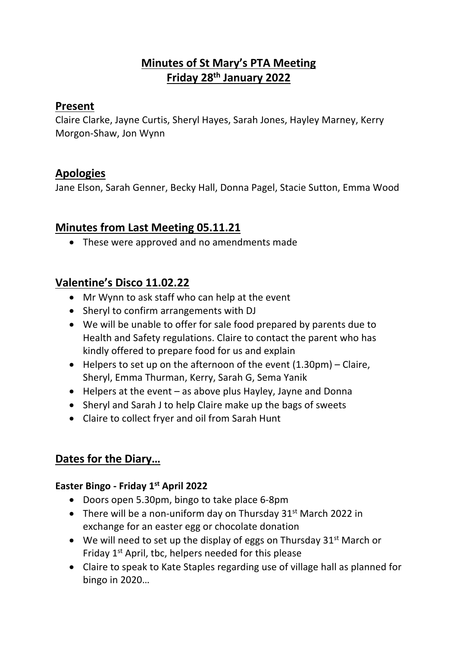# **Minutes of St Mary's PTA Meeting Friday 28th January 2022**

### **Present**

Claire Clarke, Jayne Curtis, Sheryl Hayes, Sarah Jones, Hayley Marney, Kerry Morgon-Shaw, Jon Wynn

## **Apologies**

Jane Elson, Sarah Genner, Becky Hall, Donna Pagel, Stacie Sutton, Emma Wood

# **Minutes from Last Meeting 05.11.21**

• These were approved and no amendments made

# **Valentine's Disco 11.02.22**

- Mr Wynn to ask staff who can help at the event
- Sheryl to confirm arrangements with DJ
- We will be unable to offer for sale food prepared by parents due to Health and Safety regulations. Claire to contact the parent who has kindly offered to prepare food for us and explain
- Helpers to set up on the afternoon of the event  $(1.30 \text{pm})$  Claire, Sheryl, Emma Thurman, Kerry, Sarah G, Sema Yanik
- Helpers at the event as above plus Hayley, Jayne and Donna
- Sheryl and Sarah J to help Claire make up the bags of sweets
- Claire to collect fryer and oil from Sarah Hunt

## **Dates for the Diary…**

### **Easter Bingo - Friday 1st April 2022**

- Doors open 5.30pm, bingo to take place 6-8pm
- There will be a non-uniform day on Thursday  $31<sup>st</sup>$  March 2022 in exchange for an easter egg or chocolate donation
- We will need to set up the display of eggs on Thursday  $31^{st}$  March or Friday  $1<sup>st</sup>$  April, tbc, helpers needed for this please
- Claire to speak to Kate Staples regarding use of village hall as planned for bingo in 2020…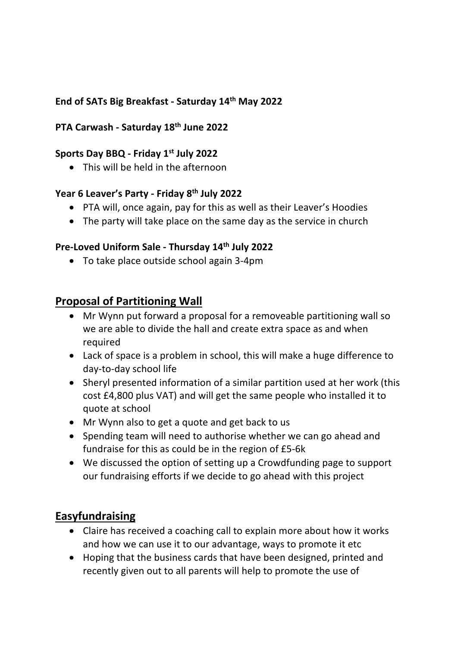### **End of SATs Big Breakfast - Saturday 14th May 2022**

#### **PTA Carwash - Saturday 18th June 2022**

#### **Sports Day BBQ - Friday 1st July 2022**

• This will be held in the afternoon

# **Year 6 Leaver's Party - Friday 8th July 2022**

- PTA will, once again, pay for this as well as their Leaver's Hoodies
- The party will take place on the same day as the service in church

#### **Pre-Loved Uniform Sale - Thursday 14th July 2022**

• To take place outside school again 3-4pm

### **Proposal of Partitioning Wall**

- Mr Wynn put forward a proposal for a removeable partitioning wall so we are able to divide the hall and create extra space as and when required
- Lack of space is a problem in school, this will make a huge difference to day-to-day school life
- Sheryl presented information of a similar partition used at her work (this cost £4,800 plus VAT) and will get the same people who installed it to quote at school
- Mr Wynn also to get a quote and get back to us
- Spending team will need to authorise whether we can go ahead and fundraise for this as could be in the region of £5-6k
- We discussed the option of setting up a Crowdfunding page to support our fundraising efforts if we decide to go ahead with this project

### **Easyfundraising**

- Claire has received a coaching call to explain more about how it works and how we can use it to our advantage, ways to promote it etc
- Hoping that the business cards that have been designed, printed and recently given out to all parents will help to promote the use of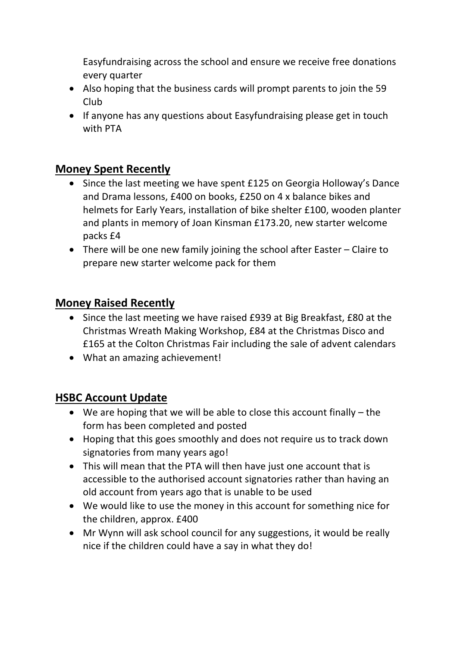Easyfundraising across the school and ensure we receive free donations every quarter

- Also hoping that the business cards will prompt parents to join the 59 Club
- If anyone has any questions about Easyfundraising please get in touch with PTA

## **Money Spent Recently**

- Since the last meeting we have spent £125 on Georgia Holloway's Dance and Drama lessons, £400 on books, £250 on 4 x balance bikes and helmets for Early Years, installation of bike shelter £100, wooden planter and plants in memory of Joan Kinsman £173.20, new starter welcome packs £4
- There will be one new family joining the school after Easter Claire to prepare new starter welcome pack for them

### **Money Raised Recently**

- Since the last meeting we have raised £939 at Big Breakfast, £80 at the Christmas Wreath Making Workshop, £84 at the Christmas Disco and £165 at the Colton Christmas Fair including the sale of advent calendars
- What an amazing achievement!

## **HSBC Account Update**

- We are hoping that we will be able to close this account finally the form has been completed and posted
- Hoping that this goes smoothly and does not require us to track down signatories from many years ago!
- This will mean that the PTA will then have just one account that is accessible to the authorised account signatories rather than having an old account from years ago that is unable to be used
- We would like to use the money in this account for something nice for the children, approx. £400
- Mr Wynn will ask school council for any suggestions, it would be really nice if the children could have a say in what they do!